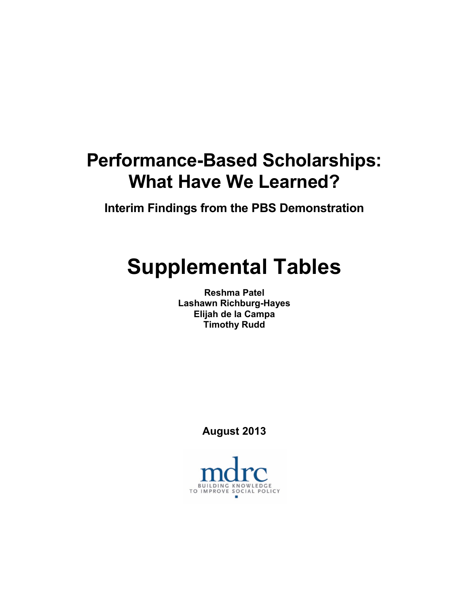# **Performance-Based Scholarships: What Have We Learned?**

**Interim Findings from the PBS Demonstration**

# **Supplemental Tables**

**Reshma Patel Lashawn Richburg-Hayes Elijah de la Campa Timothy Rudd**

**August 2013**

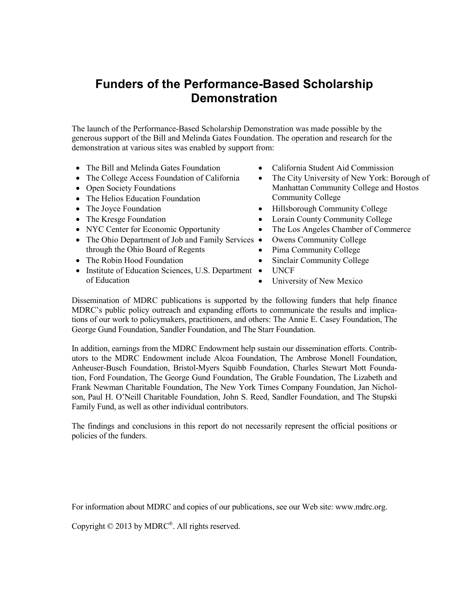# **Funders of the Performance-Based Scholarship Demonstration**

The launch of the Performance-Based Scholarship Demonstration was made possible by the generous support of the Bill and Melinda Gates Foundation. The operation and research for the demonstration at various sites was enabled by support from:

- The Bill and Melinda Gates Foundation California Student Aid Commission
- The College Access Foundation of California
- Open Society Foundations
- The Helios Education Foundation
- 
- 
- 
- The Ohio Department of Job and Family Services through the Ohio Board of Regents
- 
- Institute of Education Sciences, U.S. Department of Education
- 
- The City University of New York: Borough of Manhattan Community College and Hostos Community College
- The Joyce Foundation Hillsborough Community College
- The Kresge Foundation Lorain County Community College
- NYC Center for Economic Opportunity The Los Angeles Chamber of Commerce
	- Owens Community College
	- Pima Community College
- The Robin Hood Foundation Sinclair Community College
	- UNCF
	- University of New Mexico

Dissemination of MDRC publications is supported by the following funders that help finance MDRC's public policy outreach and expanding efforts to communicate the results and implications of our work to policymakers, practitioners, and others: The Annie E. Casey Foundation, The George Gund Foundation, Sandler Foundation, and The Starr Foundation.

In addition, earnings from the MDRC Endowment help sustain our dissemination efforts. Contributors to the MDRC Endowment include Alcoa Foundation, The Ambrose Monell Foundation, Anheuser-Busch Foundation, Bristol-Myers Squibb Foundation, Charles Stewart Mott Foundation, Ford Foundation, The George Gund Foundation, The Grable Foundation, The Lizabeth and Frank Newman Charitable Foundation, The New York Times Company Foundation, Jan Nicholson, Paul H. O'Neill Charitable Foundation, John S. Reed, Sandler Foundation, and The Stupski Family Fund, as well as other individual contributors.

The findings and conclusions in this report do not necessarily represent the official positions or policies of the funders.

For information about MDRC and copies of our publications, see our Web site: www.mdrc.org.

Copyright © 2013 by MDRC®. All rights reserved.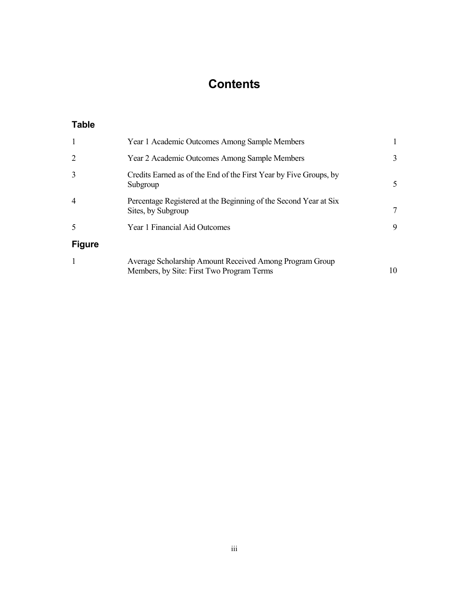# **Contents**

# **Table**

| 1             | Year 1 Academic Outcomes Among Sample Members                                                        |    |
|---------------|------------------------------------------------------------------------------------------------------|----|
| 2             | Year 2 Academic Outcomes Among Sample Members                                                        | 3  |
| 3             | Credits Earned as of the End of the First Year by Five Groups, by<br>Subgroup                        | 5  |
| 4             | Percentage Registered at the Beginning of the Second Year at Six<br>Sites, by Subgroup               |    |
| 5             | Year 1 Financial Aid Outcomes                                                                        | 9  |
| <b>Figure</b> |                                                                                                      |    |
| 1             | Average Scholarship Amount Received Among Program Group<br>Members, by Site: First Two Program Terms | 10 |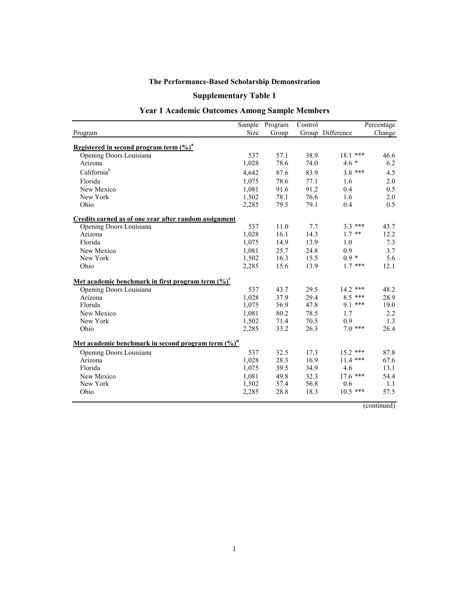# **Supplementary Table 1**

# **Year 1 Academic Outcomes Among Sample Members**

|                                                                                |       | Sample Program | Control |                  | Percentage |
|--------------------------------------------------------------------------------|-------|----------------|---------|------------------|------------|
| Program                                                                        | Size  | Group          |         | Group Difference | Change     |
|                                                                                |       |                |         |                  |            |
| Registered in second program term $(\frac{9}{6})^a$<br>Opening Doors Louisiana | 537   | 57.1           | 38.9    | $18.1***$        | 46.6       |
| Arizona                                                                        | 1,028 | 78.6           | 74.0    | $4.6*$           | 6.2        |
| California <sup>b</sup>                                                        |       |                |         |                  |            |
|                                                                                | 4,642 | 87.6           | 83.9    | $3.8***$         | 4.5        |
| Florida                                                                        | 1,075 | 78.6           | 77.1    | 1.6              | 2.0        |
| New Mexico                                                                     | 1,081 | 91.6           | 91.2    | 0.4              | 0.5        |
| New York                                                                       | 1,502 | 78.1           | 76.6    | 1.6              | 2.0        |
| Ohio                                                                           | 2,285 | 79.5           | 79.1    | 0.4              | 0.5        |
| Credits earned as of one year after random assignment                          |       |                |         |                  |            |
| Opening Doors Louisiana                                                        | 537   | 11.0           | 7.7     | $3.3***$         | 43.7       |
| Arizona                                                                        | 1,028 | 16.1           | 14.3    | $1.7$ **         | 12.2       |
| Florida                                                                        | 1,075 | 14.9           | 13.9    | 1.0              | 7.3        |
| New Mexico                                                                     | 1,081 | 25.7           | 24.8    | 0.9              | 3.7        |
| New York                                                                       | 1,502 | 16.3           | 15.5    | $0.9 *$          | 5.6        |
| Ohio                                                                           | 2,285 | 15.6           | 13.9    | $1.7***$         | 12.1       |
| Met academic benchmark in first program term (%) <sup>c</sup>                  |       |                |         |                  |            |
| Opening Doors Louisiana                                                        | 537   | 43.7           | 29.5    | $14.2$ ***       | 48.2       |
| Arizona                                                                        | 1,028 | 37.9           | 29.4    | $8.5***$         | 28.9       |
| Florida                                                                        | 1,075 | 56.9           | 47.8    | $9.1***$         | 19.0       |
| New Mexico                                                                     | 1.081 | 80.2           | 78.5    | 1.7              | 2.2        |
| New York                                                                       | 1,502 | 71.4           | 70.5    | 0.9              | 1.3        |
| Ohio                                                                           | 2,285 | 33.2           | 26.3    | $7.0***$         | 26.4       |
| Met academic benchmark in second program term (%) <sup>d</sup>                 |       |                |         |                  |            |
| Opening Doors Louisiana                                                        | 537   | 32.5           | 17.3    | 15.2 ***         | 87.8       |
| Arizona                                                                        | 1,028 | 28.3           | 16.9    | $11.4$ ***       | 67.6       |
| Florida                                                                        | 1,075 | 39.5           | 34.9    | 4.6              | 13.1       |
| New Mexico                                                                     | 1,081 | 49.8           | 32.3    | $17.6$ ***       | 54.4       |
| New York                                                                       | 1,502 | 57.4           | 56.8    | 0.6              | 1.1        |
| Ohio                                                                           | 2,285 | 28.8           | 18.3    | $10.5$ ***       | 57.5       |
|                                                                                |       |                |         |                  |            |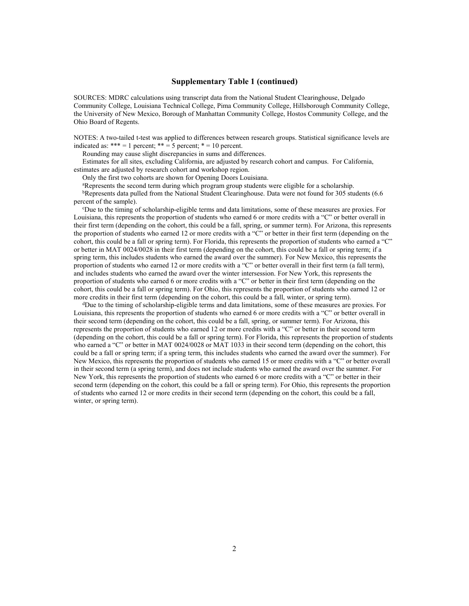#### **Supplementary Table 1 (continued)**

SOURCES: MDRC calculations using transcript data from the National Student Clearinghouse, Delgado Community College, Louisiana Technical College, Pima Community College, Hillsborough Community College, the University of New Mexico, Borough of Manhattan Community College, Hostos Community College, and the Ohio Board of Regents.

NOTES: A two-tailed t-test was applied to differences between research groups. Statistical significance levels are indicated as:  $*** = 1$  percent;  $** = 5$  percent;  $* = 10$  percent.

Rounding may cause slight discrepancies in sums and differences.

Estimates for all sites, excluding California, are adjusted by research cohort and campus. For California, estimates are adjusted by research cohort and workshop region.

Only the first two cohorts are shown for Opening Doors Louisiana.

aRepresents the second term during which program group students were eligible for a scholarship.

bRepresents data pulled from the National Student Clearinghouse. Data were not found for 305 students (6.6) percent of the sample).

c Due to the timing of scholarship-eligible terms and data limitations, some of these measures are proxies. For Louisiana, this represents the proportion of students who earned 6 or more credits with a "C" or better overall in their first term (depending on the cohort, this could be a fall, spring, or summer term). For Arizona, this represents the proportion of students who earned 12 or more credits with a "C" or better in their first term (depending on the cohort, this could be a fall or spring term). For Florida, this represents the proportion of students who earned a "C" or better in MAT 0024/0028 in their first term (depending on the cohort, this could be a fall or spring term; if a spring term, this includes students who earned the award over the summer). For New Mexico, this represents the proportion of students who earned 12 or more credits with a "C" or better overall in their first term (a fall term), and includes students who earned the award over the winter intersession. For New York, this represents the proportion of students who earned 6 or more credits with a "C" or better in their first term (depending on the cohort, this could be a fall or spring term). For Ohio, this represents the proportion of students who earned 12 or more credits in their first term (depending on the cohort, this could be a fall, winter, or spring term).

dDue to the timing of scholarship-eligible terms and data limitations, some of these measures are proxies. For Louisiana, this represents the proportion of students who earned 6 or more credits with a "C" or better overall in their second term (depending on the cohort, this could be a fall, spring, or summer term). For Arizona, this represents the proportion of students who earned 12 or more credits with a "C" or better in their second term (depending on the cohort, this could be a fall or spring term). For Florida, this represents the proportion of students who earned a "C" or better in MAT 0024/0028 or MAT 1033 in their second term (depending on the cohort, this could be a fall or spring term; if a spring term, this includes students who earned the award over the summer). For New Mexico, this represents the proportion of students who earned 15 or more credits with a "C" or better overall in their second term (a spring term), and does not include students who earned the award over the summer. For New York, this represents the proportion of students who earned 6 or more credits with a "C" or better in their second term (depending on the cohort, this could be a fall or spring term). For Ohio, this represents the proportion of students who earned 12 or more credits in their second term (depending on the cohort, this could be a fall, winter, or spring term).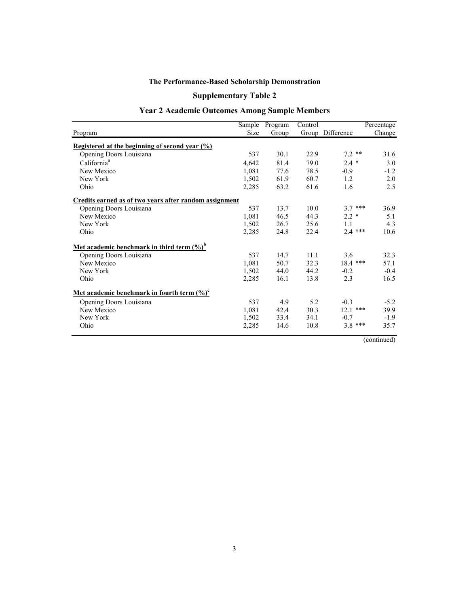# **Supplementary Table 2**

# **Year 2 Academic Outcomes Among Sample Members**

|                                                                  |       | Sample Program | Control |                  | Percentage |
|------------------------------------------------------------------|-------|----------------|---------|------------------|------------|
| Program                                                          | Size  | Group          |         | Group Difference | Change     |
| <u>Registered at the beginning of second year (%)</u>            |       |                |         |                  |            |
| Opening Doors Louisiana                                          | 537   | 30.1           | 22.9    | $7.2$ **         | 31.6       |
| California <sup>a</sup>                                          | 4,642 | 81.4           | 79.0    | $2.4*$           | 3.0        |
| New Mexico                                                       | 1,081 | 77.6           | 78.5    | $-0.9$           | $-1.2$     |
| New York                                                         | 1,502 | 61.9           | 60.7    | 1.2              | 2.0        |
| Ohio                                                             | 2,285 | 63.2           | 61.6    | 1.6              | 2.5        |
| Credits earned as of two years after random assignment           |       |                |         |                  |            |
| Opening Doors Louisiana                                          | 537   | 13.7           | 10.0    | $3.7***$         | 36.9       |
| New Mexico                                                       | 1,081 | 46.5           | 44.3    | $2.2*$           | 5.1        |
| New York                                                         | 1,502 | 26.7           | 25.6    | 1.1              | 4.3        |
| Ohio                                                             | 2,285 | 24.8           | 22.4    | $2.4***$         | 10.6       |
| <u>Met academic benchmark in third term <math>(\%)^b</math></u>  |       |                |         |                  |            |
| Opening Doors Louisiana                                          | 537   | 14.7           | 11.1    | 3.6              | 32.3       |
| New Mexico                                                       | 1,081 | 50.7           | 32.3    | $18.4$ ***       | 57.1       |
| New York                                                         | 1,502 | 44.0           | 44.2    | $-0.2$           | $-0.4$     |
| Ohio                                                             | 2,285 | 16.1           | 13.8    | 2.3              | 16.5       |
| <u>Met academic benchmark in fourth term <math>(\%)^c</math></u> |       |                |         |                  |            |
| Opening Doors Louisiana                                          | 537   | 4.9            | 5.2     | $-0.3$           | $-5.2$     |
| New Mexico                                                       | 1,081 | 42.4           | 30.3    | $12.1$ ***       | 39.9       |
| New York                                                         | 1,502 | 33.4           | 34.1    | $-0.7$           | $-1.9$     |
| Ohio                                                             | 2,285 | 14.6           | 10.8    | $3.8***$         | 35.7       |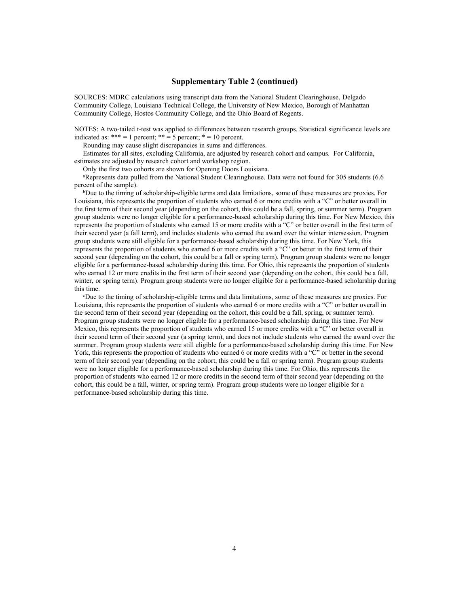#### **Supplementary Table 2 (continued)**

SOURCES: MDRC calculations using transcript data from the National Student Clearinghouse, Delgado Community College, Louisiana Technical College, the University of New Mexico, Borough of Manhattan Community College, Hostos Community College, and the Ohio Board of Regents.

NOTES: A two-tailed t-test was applied to differences between research groups. Statistical significance levels are indicated as:  $*** = 1$  percent;  $** = 5$  percent;  $* = 10$  percent.

Rounding may cause slight discrepancies in sums and differences.

Estimates for all sites, excluding California, are adjusted by research cohort and campus. For California, estimates are adjusted by research cohort and workshop region.

Only the first two cohorts are shown for Opening Doors Louisiana.

aRepresents data pulled from the National Student Clearinghouse. Data were not found for 305 students (6.6 percent of the sample).

bDue to the timing of scholarship-eligible terms and data limitations, some of these measures are proxies. For Louisiana, this represents the proportion of students who earned 6 or more credits with a "C" or better overall in the first term of their second year (depending on the cohort, this could be a fall, spring, or summer term). Program group students were no longer eligible for a performance-based scholarship during this time. For New Mexico, this represents the proportion of students who earned 15 or more credits with a "C" or better overall in the first term of their second year (a fall term), and includes students who earned the award over the winter intersession. Program group students were still eligible for a performance-based scholarship during this time. For New York, this represents the proportion of students who earned 6 or more credits with a "C" or better in the first term of their second year (depending on the cohort, this could be a fall or spring term). Program group students were no longer eligible for a performance-based scholarship during this time. For Ohio, this represents the proportion of students who earned 12 or more credits in the first term of their second year (depending on the cohort, this could be a fall, winter, or spring term). Program group students were no longer eligible for a performance-based scholarship during this time.

c Due to the timing of scholarship-eligible terms and data limitations, some of these measures are proxies. For Louisiana, this represents the proportion of students who earned 6 or more credits with a "C" or better overall in the second term of their second year (depending on the cohort, this could be a fall, spring, or summer term). Program group students were no longer eligible for a performance-based scholarship during this time. For New Mexico, this represents the proportion of students who earned 15 or more credits with a "C" or better overall in their second term of their second year (a spring term), and does not include students who earned the award over the summer. Program group students were still eligible for a performance-based scholarship during this time. For New York, this represents the proportion of students who earned 6 or more credits with a "C" or better in the second term of their second year (depending on the cohort, this could be a fall or spring term). Program group students were no longer eligible for a performance-based scholarship during this time. For Ohio, this represents the proportion of students who earned 12 or more credits in the second term of their second year (depending on the cohort, this could be a fall, winter, or spring term). Program group students were no longer eligible for a performance-based scholarship during this time.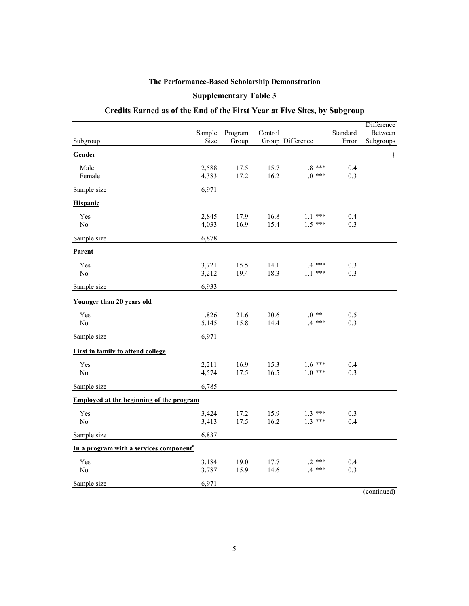#### **Supplementary Table 3**

# **Credits Earned as of the End of the First Year at Five Sites, by Subgroup**

| Subgroup                                            | Sample<br>Size | Program<br>Group | Control      | Group Difference      | Standard<br>Error | Difference<br><b>Between</b><br>Subgroups |
|-----------------------------------------------------|----------------|------------------|--------------|-----------------------|-------------------|-------------------------------------------|
| Gender                                              |                |                  |              |                       |                   | $\dagger$                                 |
| Male<br>Female                                      | 2,588<br>4,383 | 17.5<br>17.2     | 15.7<br>16.2 | $1.8***$<br>$1.0***$  | 0.4<br>0.3        |                                           |
| Sample size                                         | 6,971          |                  |              |                       |                   |                                           |
| <b>Hispanic</b>                                     |                |                  |              |                       |                   |                                           |
| Yes<br>No                                           | 2,845<br>4,033 | 17.9<br>16.9     | 16.8<br>15.4 | $1.1***$<br>$1.5***$  | 0.4<br>0.3        |                                           |
| Sample size                                         | 6,878          |                  |              |                       |                   |                                           |
| Parent                                              |                |                  |              |                       |                   |                                           |
| Yes<br>No                                           | 3,721<br>3,212 | 15.5<br>19.4     | 14.1<br>18.3 | $1.4$ ***<br>$1.1***$ | 0.3<br>0.3        |                                           |
| Sample size                                         | 6,933          |                  |              |                       |                   |                                           |
| Younger than 20 years old                           |                |                  |              |                       |                   |                                           |
| Yes<br>No                                           | 1,826<br>5,145 | 21.6<br>15.8     | 20.6<br>14.4 | $1.0**$<br>$1.4***$   | 0.5<br>0.3        |                                           |
| Sample size                                         | 6,971          |                  |              |                       |                   |                                           |
| <b>First in family to attend college</b>            |                |                  |              |                       |                   |                                           |
| Yes<br>$\rm No$                                     | 2,211<br>4,574 | 16.9<br>17.5     | 15.3<br>16.5 | $1.6***$<br>$1.0***$  | 0.4<br>0.3        |                                           |
| Sample size                                         | 6,785          |                  |              |                       |                   |                                           |
| <b>Employed at the beginning of the program</b>     |                |                  |              |                       |                   |                                           |
| Yes<br>No                                           | 3,424<br>3,413 | 17.2<br>17.5     | 15.9<br>16.2 | $1.3***$<br>$1.3***$  | 0.3<br>0.4        |                                           |
| Sample size                                         | 6,837          |                  |              |                       |                   |                                           |
| In a program with a services component <sup>a</sup> |                |                  |              |                       |                   |                                           |
| Yes<br>No                                           | 3,184<br>3,787 | 19.0<br>15.9     | 17.7<br>14.6 | $1.2$ ***<br>$1.4***$ | 0.4<br>0.3        |                                           |
| Sample size                                         | 6,971          |                  |              |                       |                   |                                           |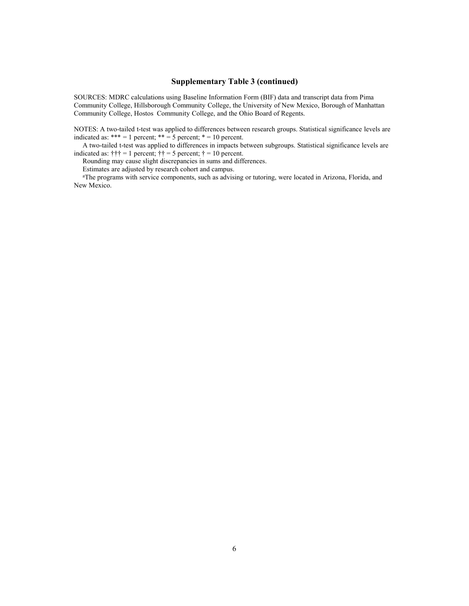#### **Supplementary Table 3 (continued)**

SOURCES: MDRC calculations using Baseline Information Form (BIF) data and transcript data from Pima Community College, Hillsborough Community College, the University of New Mexico, Borough of Manhattan Community College, Hostos Community College, and the Ohio Board of Regents.

NOTES: A two-tailed t-test was applied to differences between research groups. Statistical significance levels are indicated as:  $*** = 1$  percent;  $** = 5$  percent;  $* = 10$  percent.

A two-tailed t-test was applied to differences in impacts between subgroups. Statistical significance levels are indicated as:  $\uparrow \uparrow \uparrow = 1$  percent;  $\uparrow \uparrow = 5$  percent;  $\uparrow = 10$  percent.

Rounding may cause slight discrepancies in sums and differences.

Estimates are adjusted by research cohort and campus.

<sup>a</sup>The programs with service components, such as advising or tutoring, were located in Arizona, Florida, and New Mexico.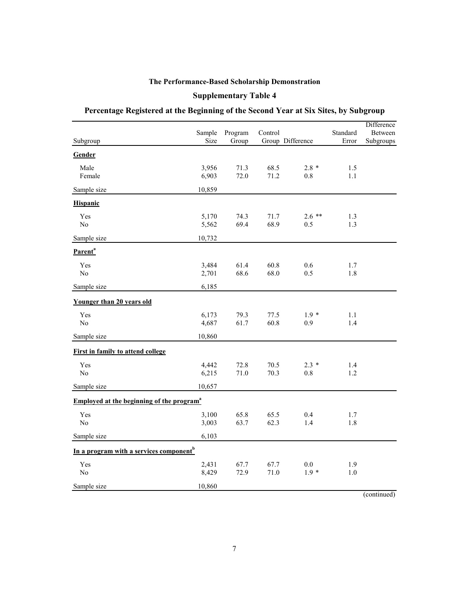# **Supplementary Table 4**

# **Percentage Registered at the Beginning of the Second Year at Six Sites, by Subgroup**

| Group Difference<br>Error<br>Subgroup<br>Size<br>Group<br>Gender<br>3,956<br>71.3<br>68.5<br>$2.8 *$<br>Male<br>1.5<br>Female<br>6,903<br>72.0<br>71.2<br>0.8<br>1.1<br>Sample size<br>10,859<br>Hispanic<br>Yes<br>5,170<br>74.3<br>71.7<br>$2.6**$<br>1.3<br>69.4<br>68.9<br>No<br>5,562<br>0.5<br>1.3<br>Sample size<br>10,732<br>Parent <sup>a</sup><br>61.4<br>60.8<br>Yes<br>3,484<br>0.6<br>1.7<br>No<br>2,701<br>68.6<br>68.0<br>0.5<br>1.8<br>Sample size<br>6,185<br>Younger than 20 years old<br>6,173<br>79.3<br>77.5<br>$1.9*$<br>Yes<br>1.1<br>No<br>4,687<br>61.7<br>60.8<br>1.4<br>0.9<br>10,860<br>Sample size<br>First in family to attend college<br>4,442<br>72.8<br>70.5<br>$2.3 *$<br>Yes<br>1.4<br>No<br>6,215<br>71.0<br>70.3<br>$0.8\,$<br>1.2<br>Sample size<br>10,657<br><b>Employed at the beginning of the program</b> <sup>a</sup><br>Yes<br>3,100<br>65.8<br>65.5<br>0.4<br>1.7<br>No<br>3,003<br>63.7<br>62.3<br>1.4<br>1.8<br>6,103<br>Sample size<br>In a program with a services component <sup>b</sup><br>Yes<br>2,431<br>67.7<br>67.7<br>$0.0\,$<br>1.9<br>No<br>8,429<br>72.9<br>71.0<br>$1.9*$<br>$1.0\,$<br>10,860<br>Sample size | Sample | Program | Control | Standard | Difference<br>Between |
|---------------------------------------------------------------------------------------------------------------------------------------------------------------------------------------------------------------------------------------------------------------------------------------------------------------------------------------------------------------------------------------------------------------------------------------------------------------------------------------------------------------------------------------------------------------------------------------------------------------------------------------------------------------------------------------------------------------------------------------------------------------------------------------------------------------------------------------------------------------------------------------------------------------------------------------------------------------------------------------------------------------------------------------------------------------------------------------------------------------------------------------------------------------------------|--------|---------|---------|----------|-----------------------|
|                                                                                                                                                                                                                                                                                                                                                                                                                                                                                                                                                                                                                                                                                                                                                                                                                                                                                                                                                                                                                                                                                                                                                                           |        |         |         |          | Subgroups             |
|                                                                                                                                                                                                                                                                                                                                                                                                                                                                                                                                                                                                                                                                                                                                                                                                                                                                                                                                                                                                                                                                                                                                                                           |        |         |         |          |                       |
|                                                                                                                                                                                                                                                                                                                                                                                                                                                                                                                                                                                                                                                                                                                                                                                                                                                                                                                                                                                                                                                                                                                                                                           |        |         |         |          |                       |
|                                                                                                                                                                                                                                                                                                                                                                                                                                                                                                                                                                                                                                                                                                                                                                                                                                                                                                                                                                                                                                                                                                                                                                           |        |         |         |          |                       |
|                                                                                                                                                                                                                                                                                                                                                                                                                                                                                                                                                                                                                                                                                                                                                                                                                                                                                                                                                                                                                                                                                                                                                                           |        |         |         |          |                       |
|                                                                                                                                                                                                                                                                                                                                                                                                                                                                                                                                                                                                                                                                                                                                                                                                                                                                                                                                                                                                                                                                                                                                                                           |        |         |         |          |                       |
|                                                                                                                                                                                                                                                                                                                                                                                                                                                                                                                                                                                                                                                                                                                                                                                                                                                                                                                                                                                                                                                                                                                                                                           |        |         |         |          |                       |
|                                                                                                                                                                                                                                                                                                                                                                                                                                                                                                                                                                                                                                                                                                                                                                                                                                                                                                                                                                                                                                                                                                                                                                           |        |         |         |          |                       |
|                                                                                                                                                                                                                                                                                                                                                                                                                                                                                                                                                                                                                                                                                                                                                                                                                                                                                                                                                                                                                                                                                                                                                                           |        |         |         |          |                       |
|                                                                                                                                                                                                                                                                                                                                                                                                                                                                                                                                                                                                                                                                                                                                                                                                                                                                                                                                                                                                                                                                                                                                                                           |        |         |         |          |                       |
|                                                                                                                                                                                                                                                                                                                                                                                                                                                                                                                                                                                                                                                                                                                                                                                                                                                                                                                                                                                                                                                                                                                                                                           |        |         |         |          |                       |
|                                                                                                                                                                                                                                                                                                                                                                                                                                                                                                                                                                                                                                                                                                                                                                                                                                                                                                                                                                                                                                                                                                                                                                           |        |         |         |          |                       |
|                                                                                                                                                                                                                                                                                                                                                                                                                                                                                                                                                                                                                                                                                                                                                                                                                                                                                                                                                                                                                                                                                                                                                                           |        |         |         |          |                       |
|                                                                                                                                                                                                                                                                                                                                                                                                                                                                                                                                                                                                                                                                                                                                                                                                                                                                                                                                                                                                                                                                                                                                                                           |        |         |         |          |                       |
|                                                                                                                                                                                                                                                                                                                                                                                                                                                                                                                                                                                                                                                                                                                                                                                                                                                                                                                                                                                                                                                                                                                                                                           |        |         |         |          |                       |
|                                                                                                                                                                                                                                                                                                                                                                                                                                                                                                                                                                                                                                                                                                                                                                                                                                                                                                                                                                                                                                                                                                                                                                           |        |         |         |          |                       |
|                                                                                                                                                                                                                                                                                                                                                                                                                                                                                                                                                                                                                                                                                                                                                                                                                                                                                                                                                                                                                                                                                                                                                                           |        |         |         |          |                       |
|                                                                                                                                                                                                                                                                                                                                                                                                                                                                                                                                                                                                                                                                                                                                                                                                                                                                                                                                                                                                                                                                                                                                                                           |        |         |         |          |                       |
|                                                                                                                                                                                                                                                                                                                                                                                                                                                                                                                                                                                                                                                                                                                                                                                                                                                                                                                                                                                                                                                                                                                                                                           |        |         |         |          |                       |
|                                                                                                                                                                                                                                                                                                                                                                                                                                                                                                                                                                                                                                                                                                                                                                                                                                                                                                                                                                                                                                                                                                                                                                           |        |         |         |          |                       |
|                                                                                                                                                                                                                                                                                                                                                                                                                                                                                                                                                                                                                                                                                                                                                                                                                                                                                                                                                                                                                                                                                                                                                                           |        |         |         |          |                       |
|                                                                                                                                                                                                                                                                                                                                                                                                                                                                                                                                                                                                                                                                                                                                                                                                                                                                                                                                                                                                                                                                                                                                                                           |        |         |         |          |                       |
|                                                                                                                                                                                                                                                                                                                                                                                                                                                                                                                                                                                                                                                                                                                                                                                                                                                                                                                                                                                                                                                                                                                                                                           |        |         |         |          |                       |
|                                                                                                                                                                                                                                                                                                                                                                                                                                                                                                                                                                                                                                                                                                                                                                                                                                                                                                                                                                                                                                                                                                                                                                           |        |         |         |          |                       |
|                                                                                                                                                                                                                                                                                                                                                                                                                                                                                                                                                                                                                                                                                                                                                                                                                                                                                                                                                                                                                                                                                                                                                                           |        |         |         |          |                       |
|                                                                                                                                                                                                                                                                                                                                                                                                                                                                                                                                                                                                                                                                                                                                                                                                                                                                                                                                                                                                                                                                                                                                                                           |        |         |         |          |                       |
|                                                                                                                                                                                                                                                                                                                                                                                                                                                                                                                                                                                                                                                                                                                                                                                                                                                                                                                                                                                                                                                                                                                                                                           |        |         |         |          |                       |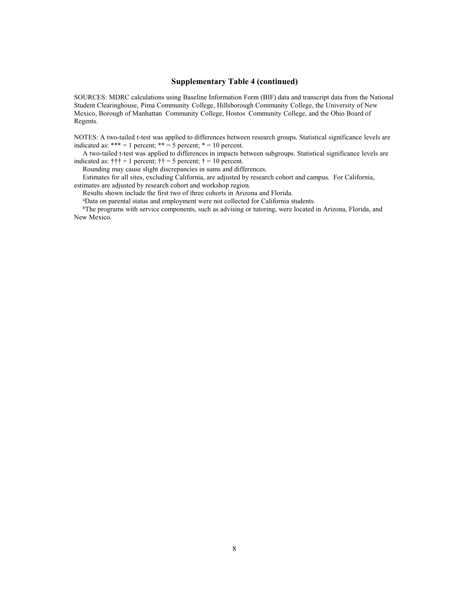#### **Supplementary Table 4 (continued)**

SOURCES: MDRC calculations using Baseline Information Form (BIF) data and transcript data from the National Student Clearinghouse, Pima Community College, Hillsborough Community College, the University of New Mexico, Borough of Manhattan Community College, Hostos Community College, and the Ohio Board of Regents.

NOTES: A two-tailed t-test was applied to differences between research groups. Statistical significance levels are indicated as: \*\*\* = 1 percent; \*\* = 5 percent; \* = 10 percent.

A two-tailed t-test was applied to differences in impacts between subgroups. Statistical significance levels are indicated as:  $\ddagger \ddagger \ddagger = 1$  percent;  $\ddagger = 5$  percent;  $\ddagger = 10$  percent.

Rounding may cause slight discrepancies in sums and differences.

Estimates for all sites, excluding California, are adjusted by research cohort and campus. For California, estimates are adjusted by research cohort and workshop region.

Results shown include the first two of three cohorts in Arizona and Florida.

aData on parental status and employment were not collected for California students.

<sup>b</sup>The programs with service components, such as advising or tutoring, were located in Arizona, Florida, and New Mexico.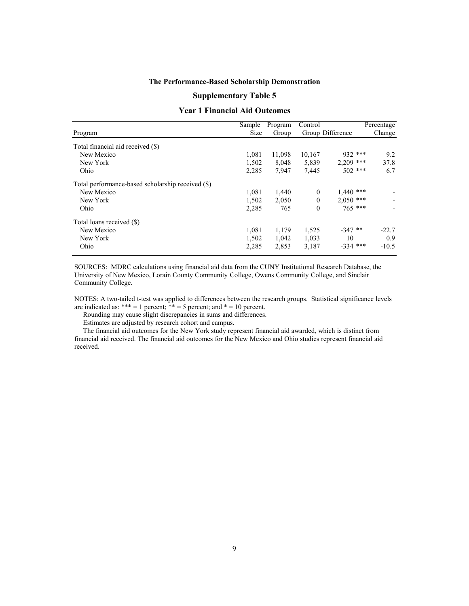#### **Supplementary Table 5**

#### **Year 1 Financial Aid Outcomes**

|                                                   | Sample      | Program | Control      |                  | Percentage |
|---------------------------------------------------|-------------|---------|--------------|------------------|------------|
| Program                                           | <b>Size</b> | Group   |              | Group Difference | Change     |
| Total financial aid received (\$)                 |             |         |              |                  |            |
| New Mexico                                        | 1.081       | 11,098  | 10,167       | 932 ***          | 9.2        |
| New York                                          | 1,502       | 8,048   | 5,839        | $2.209$ ***      | 37.8       |
| Ohio                                              | 2,285       | 7,947   | 7,445        | $502$ ***        | 6.7        |
| Total performance-based scholarship received (\$) |             |         |              |                  |            |
| New Mexico                                        | 1,081       | 1,440   | $\mathbf{0}$ | $1.440$ ***      |            |
| New York                                          | 1,502       | 2,050   | $\theta$     | $2,050$ ***      |            |
| Ohio                                              | 2,285       | 765     | $\theta$     | $765$ ***        |            |
| Total loans received (\$)                         |             |         |              |                  |            |
| New Mexico                                        | 1,081       | 1,179   | 1,525        | $-347$ **        | $-22.7$    |
| New York                                          | 1,502       | 1,042   | 1,033        | 10               | 0.9        |
| Ohio                                              | 2,285       | 2,853   | 3,187        | $-334$ ***       | $-10.5$    |

SOURCES: MDRC calculations using financial aid data from the CUNY Institutional Research Database, the University of New Mexico, Lorain County Community College, Owens Community College, and Sinclair Community College.

NOTES: A two-tailed t-test was applied to differences between the research groups. Statistical significance levels are indicated as: \*\*\* = 1 percent; \*\* = 5 percent; and  $* = 10$  percent.

Rounding may cause slight discrepancies in sums and differences.

Estimates are adjusted by research cohort and campus.

The financial aid outcomes for the New York study represent financial aid awarded, which is distinct from financial aid received. The financial aid outcomes for the New Mexico and Ohio studies represent financial aid received.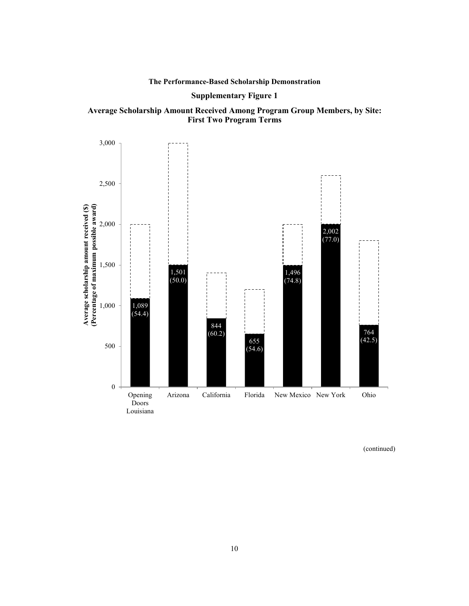#### **Supplementary Figure 1**



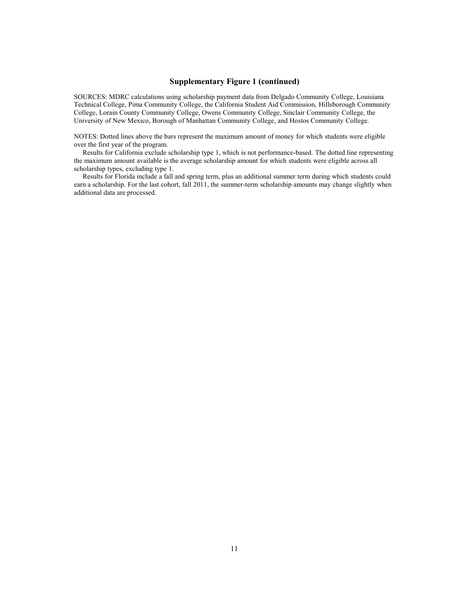#### **Supplementary Figure 1 (continued)**

SOURCES: MDRC calculations using scholarship payment data from Delgado Community College, Louisiana Technical College, Pima Community College, the California Student Aid Commission, Hillsborough Community College, Lorain County Community College, Owens Community College, Sinclair Community College, the University of New Mexico, Borough of Manhattan Community College, and Hostos Community College.

NOTES: Dotted lines above the bars represent the maximum amount of money for which students were eligible over the first year of the program.

Results for California exclude scholarship type 1, which is not performance-based. The dotted line representing the maximum amount available is the average scholarship amount for which students were eligible across all scholarship types, excluding type 1.

Results for Florida include a fall and spring term, plus an additional summer term during which students could earn a scholarship. For the last cohort, fall 2011, the summer-term scholarship amounts may change slightly when additional data are processed.